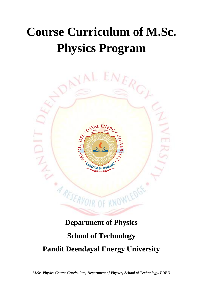## **Course Curriculum of M.Sc. Physics Program**



## **Department of Physics School of Technology**

**Pandit Deendayal Energy University**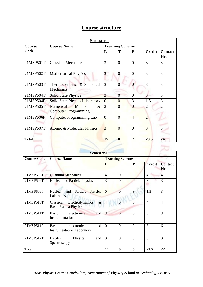|--|

| <b>Semester-I</b> |                                                                 |                        |                  |                |                |                       |
|-------------------|-----------------------------------------------------------------|------------------------|------------------|----------------|----------------|-----------------------|
| <b>Course</b>     | <b>Course Name</b>                                              | <b>Teaching Scheme</b> |                  |                |                |                       |
| Code              |                                                                 | L                      | T                | P              | <b>Credit</b>  | <b>Contact</b><br>Hr. |
| 21MSP501T         | <b>Classical Mechanics</b>                                      | 3                      | $\Omega$         | $\theta$       | 3              | 3                     |
| 21MSP502T         | <b>Mathematical Physics</b>                                     | 3                      | $\Omega$         | $\theta$       | 3              | 3                     |
| 21MSP503T         | Thermodynamics & Statistical<br>Mechanics                       | 3                      | $\theta$         | $\overline{0}$ | 3              | 3                     |
| 21MSP504T         | <b>Solid State Physics</b>                                      | 3                      | $\theta$         | $\theta$       | 3              | 3                     |
| 21MSP504P         | <b>Solid State Physics Laboratory</b>                           | $\overline{0}$         | $\Omega$         | 3              | 1.5            | 3                     |
| 21MSP505T         | Numerical<br><b>Methods</b><br>&<br><b>Computer Programming</b> | $\overline{2}$         | $\theta$         | $\overline{0}$ | $\overline{2}$ | $\overline{2}$        |
| 21MSP506P         | <b>Computer Programming Lab</b>                                 | $\overline{0}$         | $\Omega$         | $\overline{4}$ | $\overline{2}$ | $\overline{4}$        |
| 21MSP507T         | Atomic & Molecular Physics                                      | 3                      | $\theta$         | $\theta$       | 3              | 3                     |
| Total             |                                                                 | 17                     | $\boldsymbol{0}$ | 7              | 20.5           | 24                    |

| <b>Semester-II</b> |                                                                         |                        |                |                |                          |                       |
|--------------------|-------------------------------------------------------------------------|------------------------|----------------|----------------|--------------------------|-----------------------|
| <b>Course Code</b> | <b>Course Name</b>                                                      | <b>Teaching Scheme</b> |                |                |                          |                       |
|                    |                                                                         | L                      | T              | ${\bf P}$      | <b>Credit</b>            | <b>Contact</b><br>Hr. |
| 21MSP508T          | <b>Quantum Mechanics</b>                                                | $\overline{4}$         | $\Omega$       | $\Omega$       | 4                        | $\overline{4}$        |
| 21MSP509T          | <b>Nuclear and Particle Physics</b>                                     | 3                      | $\Omega$       | $\theta$       | 3                        | 3                     |
| 21MSP509P          | and Particle<br>Nuclear<br>Physics<br>Laboratory                        | $\overline{0}$         | $\Omega$       | 3              | 1.5                      | 3                     |
| 21MSP510T          | $\&$<br>Classical<br>Electrodynamics<br><b>Basic Plasma Physics</b>     | $\overline{4}$         | $\Omega$       | $\theta$       | $\overline{\mathcal{A}}$ | $\overline{4}$        |
| 21MSP511T          | electronics<br><b>Basic</b><br>and<br>Instrumentation                   | 3                      | $\overline{0}$ | $\Omega$       | 3                        | 3                     |
| 21MSP511P          | <b>Basic</b><br>electronics<br>and<br><b>Instrumentation Laboratory</b> | $\theta$               | $\theta$       | $\overline{2}$ | 3                        | 6                     |
| 21MSP512T          | Physics<br><b>LASER</b><br>and<br>Spectroscopy                          | 3                      | $\theta$       | $\Omega$       | 3                        | 3                     |
| Total              |                                                                         | 17                     | $\mathbf{0}$   | 5              | 21.5                     | 22                    |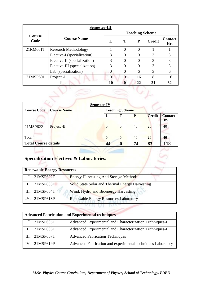| <b>Semester-III</b>                     |                      |                        |                        |          |               |                       |  |  |
|-----------------------------------------|----------------------|------------------------|------------------------|----------|---------------|-----------------------|--|--|
|                                         |                      | <b>Teaching Scheme</b> |                        |          |               |                       |  |  |
| <b>Course</b><br>Code                   | <b>Course Name</b>   | L                      | T                      | P        | <b>Credit</b> | <b>Contact</b><br>Hr. |  |  |
| 21RM601T<br><b>Research Methodology</b> |                      |                        | 0                      | $\Omega$ |               |                       |  |  |
| Elective-I (specialization)             |                      | 3                      |                        | $\Omega$ | 3             | 3                     |  |  |
| Elective-II (specialization)            |                      | 3                      | $\left( \right)$       |          | 3             | 3                     |  |  |
| Elective-III (specialization)           |                      | 3                      | 0                      | $\theta$ | 3             | 3                     |  |  |
|                                         | Lab (specialization) | 0                      | 0                      | 6        | 3             | 6                     |  |  |
| 21MSP601<br>Project -I                  |                      | $\Omega$               | $\mathbf{\mathcal{L}}$ | 16       | 8             | 16                    |  |  |
| Total<br>10<br>22<br>21<br>32           |                      |                        |                        |          |               |                       |  |  |

|                             | <b>Semester-IV</b> |                        |          |    |               |                       |
|-----------------------------|--------------------|------------------------|----------|----|---------------|-----------------------|
| <b>Course Code</b>          | <b>Course Name</b> | <b>Teaching Scheme</b> |          |    |               |                       |
|                             |                    | L                      | T        | P  | <b>Credit</b> | <b>Contact</b><br>Hr. |
| 21MSP622                    | Project -II        | $\overline{0}$         | $\Omega$ | 40 | 20            | 40                    |
| Total                       |                    | $\boldsymbol{0}$       |          | 40 | 20            | 40                    |
| <b>Total Course details</b> | 44                 |                        | 74       | 83 | 118           |                       |

## **Specialization Electives & Laboratories:**

v

|     | <b>Renewable Energy Resources</b> |                                                 |  |  |
|-----|-----------------------------------|-------------------------------------------------|--|--|
|     | 21MSP602T                         | <b>Energy Harvesting And Storage Methods</b>    |  |  |
|     | 21MSP603T                         | Solid State Solar and Thermal Energy Harvesting |  |  |
| Ш.  | 21MSP604T                         | Wind, Hydro and Bioenergy Harvesting            |  |  |
| IV. | 21MSP618P                         | <b>Renewable Energy Resources Laboratory</b>    |  |  |
|     |                                   |                                                 |  |  |

|       | <b>Advanced Fabrication and Experimental techniques</b> |                                                             |  |  |  |
|-------|---------------------------------------------------------|-------------------------------------------------------------|--|--|--|
|       | I.   21MSP605T                                          | Advanced Experimental and Characterization Techniques-I     |  |  |  |
| II. I | 21MSP606T                                               | Advanced Experimental and Characterization Techniques-II    |  |  |  |
| Ш.    | 21MSP607T                                               | <b>Advanced Fabrication Techniques</b>                      |  |  |  |
|       | IV. 21MSP619P                                           | Advanced Fabrication and experimental techniques Laboratory |  |  |  |